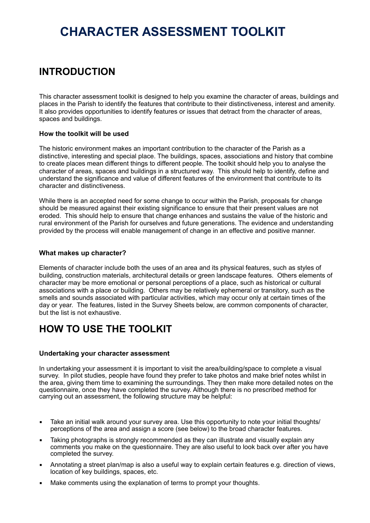# **CHARACTER ASSESSMENT TOOLKIT**

# **INTRODUCTION**

This character assessment toolkit is designed to help you examine the character of areas, buildings and places in the Parish to identify the features that contribute to their distinctiveness, interest and amenity. It also provides opportunities to identify features or issues that detract from the character of areas, spaces and buildings.

### **How the toolkit will be used**

The historic environment makes an important contribution to the character of the Parish as a distinctive, interesting and special place. The buildings, spaces, associations and history that combine to create places mean different things to different people. The toolkit should help you to analyse the character of areas, spaces and buildings in a structured way. This should help to identify, define and understand the significance and value of different features of the environment that contribute to its character and distinctiveness.

While there is an accepted need for some change to occur within the Parish, proposals for change should be measured against their existing significance to ensure that their present values are not eroded. This should help to ensure that change enhances and sustains the value of the historic and rural environment of the Parish for ourselves and future generations. The evidence and understanding provided by the process will enable management of change in an effective and positive manner.

# **What makes up character?**

Elements of character include both the uses of an area and its physical features, such as styles of building, construction materials, architectural details or green landscape features. Others elements of character may be more emotional or personal perceptions of a place, such as historical or cultural associations with a place or building. Others may be relatively ephemeral or transitory, such as the smells and sounds associated with particular activities, which may occur only at certain times of the day or year. The features, listed in the Survey Sheets below, are common components of character, but the list is not exhaustive.

# **HOW TO USE THE TOOLKIT**

#### **Undertaking your character assessment**

In undertaking your assessment it is important to visit the area/building/space to complete a visual survey. In pilot studies, people have found they prefer to take photos and make brief notes whilst in the area, giving them time to examining the surroundings. They then make more detailed notes on the questionnaire, once they have completed the survey. Although there is no prescribed method for carrying out an assessment, the following structure may be helpful:

- **EXECT** Take an initial walk around your survey area. Use this opportunity to note your initial thoughts/ perceptions of the area and assign a score (see below) to the broad character features.
- Taking photographs is strongly recommended as they can illustrate and visually explain any comments you make on the questionnaire. They are also useful to look back over after you have completed the survey.
- Annotating a street plan/map is also a useful way to explain certain features e.g. direction of views, location of key buildings, spaces, etc.
- Make comments using the explanation of terms to prompt your thoughts.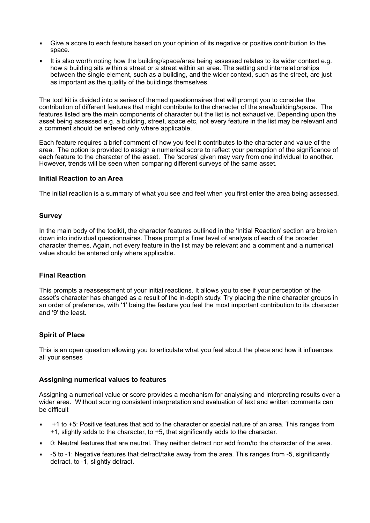- Give a score to each feature based on your opinion of its negative or positive contribution to the space.
- It is also worth noting how the building/space/area being assessed relates to its wider context e.g. how a building sits within a street or a street within an area. The setting and interrelationships between the single element, such as a building, and the wider context, such as the street, are just as important as the quality of the buildings themselves.

The tool kit is divided into a series of themed questionnaires that will prompt you to consider the contribution of different features that might contribute to the character of the area/building/space. The features listed are the main components of character but the list is not exhaustive. Depending upon the asset being assessed e.g. a building, street, space etc, not every feature in the list may be relevant and a comment should be entered only where applicable.

Each feature requires a brief comment of how you feel it contributes to the character and value of the area. The option is provided to assign a numerical score to reflect your perception of the significance of each feature to the character of the asset. The 'scores' given may vary from one individual to another. However, trends will be seen when comparing different surveys of the same asset.

#### **Initial Reaction to an Area**

The initial reaction is a summary of what you see and feel when you first enter the area being assessed.

### **Survey**

In the main body of the toolkit, the character features outlined in the 'Initial Reaction' section are broken down into individual questionnaires. These prompt a finer level of analysis of each of the broader character themes. Again, not every feature in the list may be relevant and a comment and a numerical value should be entered only where applicable.

# **Final Reaction**

This prompts a reassessment of your initial reactions. It allows you to see if your perception of the asset's character has changed as a result of the in-depth study. Try placing the nine character groups in an order of preference, with '1' being the feature you feel the most important contribution to its character and '9' the least.

# **Spirit of Place**

This is an open question allowing you to articulate what you feel about the place and how it influences all your senses

#### **Assigning numerical values to features**

Assigning a numerical value or score provides a mechanism for analysing and interpreting results over a wider area. Without scoring consistent interpretation and evaluation of text and written comments can be difficult

- +1 to +5: Positive features that add to the character or special nature of an area. This ranges from +1, slightly adds to the character, to +5, that significantly adds to the character.
- 0: Neutral features that are neutral. They neither detract nor add from/to the character of the area.
- -5 to -1: Negative features that detract/take away from the area. This ranges from -5, significantly detract, to -1, slightly detract.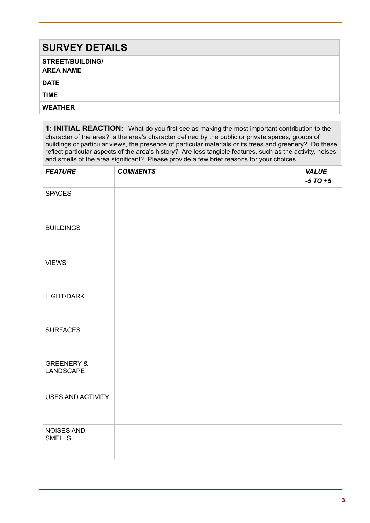| <b>SURVEY DETAILS</b>                       |  |  |
|---------------------------------------------|--|--|
| <b>STREET/BUILDING/</b><br><b>AREA NAME</b> |  |  |
| <b>DATE</b>                                 |  |  |
| <b>TIME</b>                                 |  |  |
| <b>WEATHER</b>                              |  |  |

**1: INITIAL REACTION:** What do you first see as making the most important contribution to the character of the area? Is the area's character defined by the public or private spaces, groups of buildings or particular views, the presence of particular materials or its trees and greenery? Do these reflect particular aspects of the area's history? Are less tangible features, such as the activity, noises and smells of the area significant? Please provide a few brief reasons for your choices.

| <b>FEATURE</b>                     | <b>COMMENTS</b> | <b>VALUE</b><br>$-5$ TO $+5$ |
|------------------------------------|-----------------|------------------------------|
| <b>SPACES</b>                      |                 |                              |
| <b>BUILDINGS</b>                   |                 |                              |
| <b>VIEWS</b>                       |                 |                              |
| LIGHT/DARK                         |                 |                              |
| <b>SURFACES</b>                    |                 |                              |
| <b>GREENERY &amp;</b><br>LANDSCAPE |                 |                              |
| USES AND ACTIVITY                  |                 |                              |
| <b>NOISES AND</b><br><b>SMELLS</b> |                 |                              |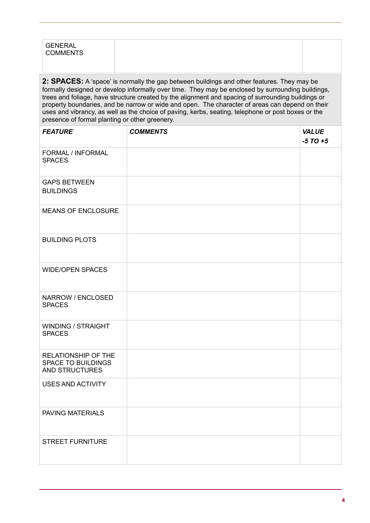| <b>GENERAL</b><br><b>COMMENTS</b> |                                                                                                                                                                                                                                                                                                                                                                                                                                                                                                                |  |
|-----------------------------------|----------------------------------------------------------------------------------------------------------------------------------------------------------------------------------------------------------------------------------------------------------------------------------------------------------------------------------------------------------------------------------------------------------------------------------------------------------------------------------------------------------------|--|
|                                   | 2: SPACES: A 'space' is normally the gap between buildings and other features. They may be<br>formally designed or develop informally over time. They may be enclosed by surrounding buildings,<br>trees and foliage, have structure created by the alignment and spacing of surrounding buildings or<br>property boundaries, and be narrow or wide and open. The character of areas can depend on their<br>uses and vibrancy, as well as the choice of paving, kerbs, seating, telephone or post boxes or the |  |

presence of formal planting or other greenery.

| <b>FEATURE</b>                                                     | <b>COMMENTS</b> | <b>VALUE</b><br>$-5$ TO $+5$ |
|--------------------------------------------------------------------|-----------------|------------------------------|
| FORMAL / INFORMAL<br><b>SPACES</b>                                 |                 |                              |
| <b>GAPS BETWEEN</b><br><b>BUILDINGS</b>                            |                 |                              |
| <b>MEANS OF ENCLOSURE</b>                                          |                 |                              |
| <b>BUILDING PLOTS</b>                                              |                 |                              |
| <b>WIDE/OPEN SPACES</b>                                            |                 |                              |
| NARROW / ENCLOSED<br><b>SPACES</b>                                 |                 |                              |
| WINDING / STRAIGHT<br><b>SPACES</b>                                |                 |                              |
| RELATIONSHIP OF THE<br><b>SPACE TO BUILDINGS</b><br>AND STRUCTURES |                 |                              |
| USES AND ACTIVITY                                                  |                 |                              |
| PAVING MATERIALS                                                   |                 |                              |
| <b>STREET FURNITURE</b>                                            |                 |                              |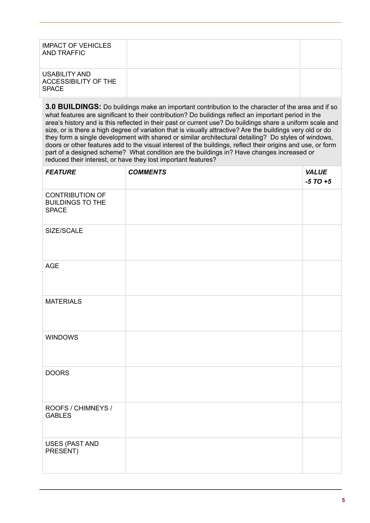| <b>IMPACT OF VEHICLES</b><br>AND TRAFFIC                     |  |
|--------------------------------------------------------------|--|
| <b>USABILITY AND</b><br>ACCESSIBILITY OF THE<br><b>SPACE</b> |  |

**3.0 BUILDINGS:** Do buildings make an important contribution to the character of the area and if so what features are significant to their contribution? Do buildings reflect an important period in the area's history and is this reflected in their past or current use? Do buildings share a uniform scale and size, or is there a high degree of variation that is visually attractive? Are the buildings very old or do they form a single development with shared or similar architectural detailing? Do styles of windows, doors or other features add to the visual interest of the buildings, reflect their origins and use, or form part of a designed scheme? What condition are the buildings in? Have changes increased or reduced their interest, or have they lost important features?

| <b>FEATURE</b>                                                    | <b>COMMENTS</b> | <b>VALUE</b><br>$-5$ TO $+5$ |
|-------------------------------------------------------------------|-----------------|------------------------------|
| <b>CONTRIBUTION OF</b><br><b>BUILDINGS TO THE</b><br><b>SPACE</b> |                 |                              |
| SIZE/SCALE                                                        |                 |                              |
| <b>AGE</b>                                                        |                 |                              |
| <b>MATERIALS</b>                                                  |                 |                              |
| <b>WINDOWS</b>                                                    |                 |                              |
| <b>DOORS</b>                                                      |                 |                              |
| ROOFS / CHIMNEYS /<br><b>GABLES</b>                               |                 |                              |
| <b>USES (PAST AND</b><br>PRESENT)                                 |                 |                              |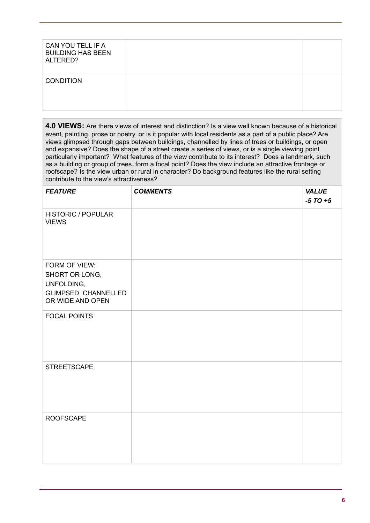| CAN YOU TELL IF A<br><b>BUILDING HAS BEEN</b><br>ALTERED? |  |
|-----------------------------------------------------------|--|
| <b>CONDITION</b>                                          |  |

**4.0 VIEWS:** Are there views of interest and distinction? Is a view well known because of a historical event, painting, prose or poetry, or is it popular with local residents as a part of a public place? Are views glimpsed through gaps between buildings, channelled by lines of trees or buildings, or open and expansive? Does the shape of a street create a series of views, or is a single viewing point particularly important? What features of the view contribute to its interest? Does a landmark, such as a building or group of trees, form a focal point? Does the view include an attractive frontage or roofscape? Is the view urban or rural in character? Do background features like the rural setting contribute to the view's attractiveness?

| <b>FEATURE</b>                                                                            | <b>COMMENTS</b> | <b>VALUE</b><br>$-5$ TO $+5$ |
|-------------------------------------------------------------------------------------------|-----------------|------------------------------|
| <b>HISTORIC / POPULAR</b><br><b>VIEWS</b>                                                 |                 |                              |
| FORM OF VIEW:<br>SHORT OR LONG,<br>UNFOLDING,<br>GLIMPSED, CHANNELLED<br>OR WIDE AND OPEN |                 |                              |
| <b>FOCAL POINTS</b>                                                                       |                 |                              |
| <b>STREETSCAPE</b>                                                                        |                 |                              |
| <b>ROOFSCAPE</b>                                                                          |                 |                              |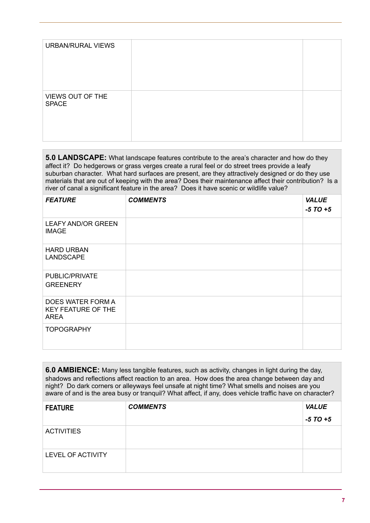| <b>URBAN/RURAL VIEWS</b>         |  |
|----------------------------------|--|
| VIEWS OUT OF THE<br><b>SPACE</b> |  |

**5.0 LANDSCAPE:** What landscape features contribute to the area's character and how do they affect it? Do hedgerows or grass verges create a rural feel or do street trees provide a leafy suburban character. What hard surfaces are present, are they attractively designed or do they use materials that are out of keeping with the area? Does their maintenance affect their contribution? Is a river of canal a significant feature in the area? Does it have scenic or wildlife value?

| <b>FEATURE</b>                                                | <b>COMMENTS</b> | <b>VALUE</b><br>$-5$ TO $+5$ |
|---------------------------------------------------------------|-----------------|------------------------------|
| <b>LEAFY AND/OR GREEN</b><br><b>IMAGE</b>                     |                 |                              |
| <b>HARD URBAN</b><br><b>LANDSCAPE</b>                         |                 |                              |
| PUBLIC/PRIVATE<br><b>GREENERY</b>                             |                 |                              |
| DOES WATER FORM A<br><b>KEY FEATURE OF THE</b><br><b>AREA</b> |                 |                              |
| <b>TOPOGRAPHY</b>                                             |                 |                              |

**6.0 AMBIENCE:** Many less tangible features, such as activity, changes in light during the day, shadows and reflections affect reaction to an area. How does the area change between day and night? Do dark corners or alleyways feel unsafe at night time? What smells and noises are you aware of and is the area busy or tranquil? What affect, if any, does vehicle traffic have on character?

| <b>FEATURE</b>           | <b>COMMENTS</b> | <b>VALUE</b> |
|--------------------------|-----------------|--------------|
|                          |                 | $-5$ TO $+5$ |
| <b>ACTIVITIES</b>        |                 |              |
| <b>LEVEL OF ACTIVITY</b> |                 |              |